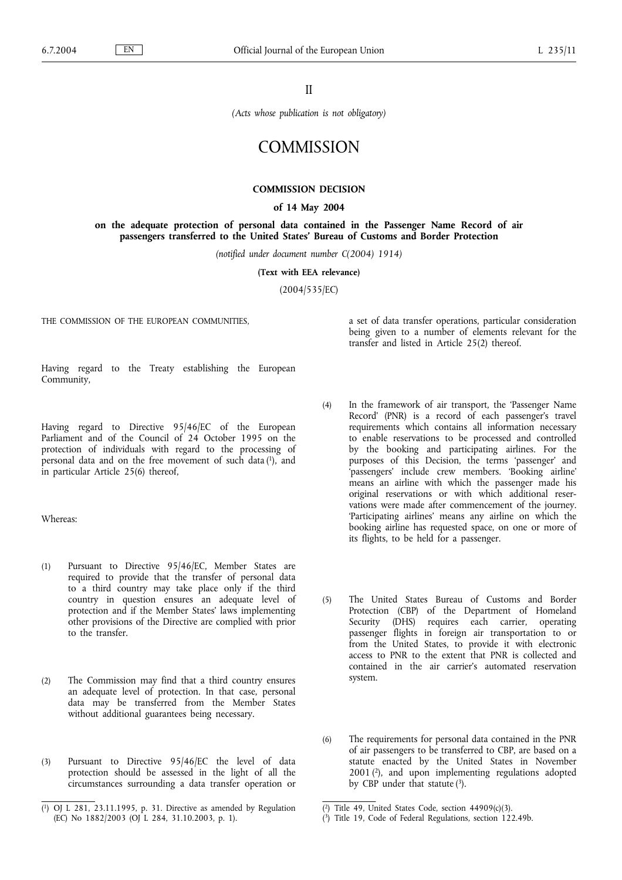II

*(Acts whose publication is not obligatory)*

# **COMMISSION**

# **COMMISSION DECISION**

## **of 14 May 2004**

**on the adequate protection of personal data contained in the Passenger Name Record of air passengers transferred to the United States' Bureau of Customs and Border Protection**

*(notified under document number C(2004) 1914)*

**(Text with EEA relevance)**

(2004/535/EC)

THE COMMISSION OF THE EUROPEAN COMMUNITIES,

a set of data transfer operations, particular consideration being given to a number of elements relevant for the transfer and listed in Article 25(2) thereof.

Having regard to the Treaty establishing the European Community,

Having regard to Directive 95/46/EC of the European Parliament and of the Council of 24 October 1995 on the protection of individuals with regard to the processing of personal data and on the free movement of such data (1), and in particular Article 25(6) thereof,

Whereas:

- (1) Pursuant to Directive 95/46/EC, Member States are required to provide that the transfer of personal data to a third country may take place only if the third country in question ensures an adequate level of protection and if the Member States' laws implementing other provisions of the Directive are complied with prior to the transfer.
- (2) The Commission may find that a third country ensures an adequate level of protection. In that case, personal data may be transferred from the Member States without additional guarantees being necessary.
- (3) Pursuant to Directive 95/46/EC the level of data protection should be assessed in the light of all the circumstances surrounding a data transfer operation or
- (4) In the framework of air transport, the 'Passenger Name Record' (PNR) is a record of each passenger's travel requirements which contains all information necessary to enable reservations to be processed and controlled by the booking and participating airlines. For the purposes of this Decision, the terms 'passenger' and 'passengers' include crew members. 'Booking airline' means an airline with which the passenger made his original reservations or with which additional reservations were made after commencement of the journey. 'Participating airlines' means any airline on which the booking airline has requested space, on one or more of its flights, to be held for a passenger.
- (5) The United States Bureau of Customs and Border Protection (CBP) of the Department of Homeland Security (DHS) requires each carrier, operating passenger flights in foreign air transportation to or from the United States, to provide it with electronic access to PNR to the extent that PNR is collected and contained in the air carrier's automated reservation system.
- (6) The requirements for personal data contained in the PNR of air passengers to be transferred to CBP, are based on a statute enacted by the United States in November 2001 (2), and upon implementing regulations adopted by CBP under that statute  $(3)$ .

<sup>(</sup> 1) OJ L 281, 23.11.1995, p. 31. Directive as amended by Regulation (EC) No 1882/2003 (OJ L 284, 31.10.2003, p. 1).

<sup>(</sup> 2) Title 49, United States Code, section 44909(c)(3).

<sup>(</sup> 3) Title 19, Code of Federal Regulations, section 122.49b.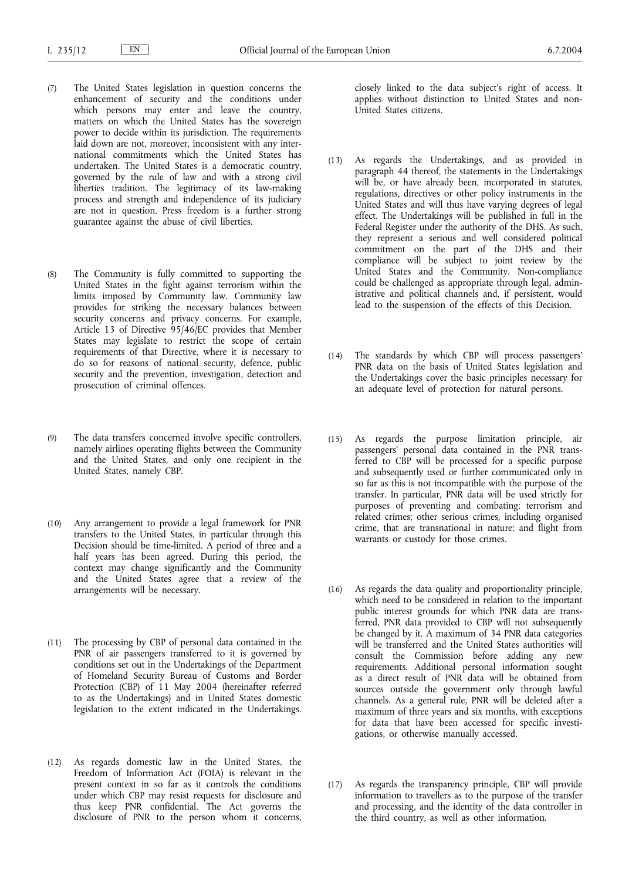- (7) The United States legislation in question concerns the enhancement of security and the conditions under which persons may enter and leave the country, matters on which the United States has the sovereign power to decide within its jurisdiction. The requirements laid down are not, moreover, inconsistent with any international commitments which the United States has undertaken. The United States is a democratic country, governed by the rule of law and with a strong civil liberties tradition. The legitimacy of its law-making process and strength and independence of its judiciary are not in question. Press freedom is a further strong guarantee against the abuse of civil liberties.
- (8) The Community is fully committed to supporting the United States in the fight against terrorism within the limits imposed by Community law. Community law provides for striking the necessary balances between security concerns and privacy concerns. For example, Article 13 of Directive 95/46/EC provides that Member States may legislate to restrict the scope of certain requirements of that Directive, where it is necessary to do so for reasons of national security, defence, public security and the prevention, investigation, detection and prosecution of criminal offences.
- (9) The data transfers concerned involve specific controllers, namely airlines operating flights between the Community and the United States, and only one recipient in the United States, namely CBP.
- (10) Any arrangement to provide a legal framework for PNR transfers to the United States, in particular through this Decision should be time-limited. A period of three and a half years has been agreed. During this period, the context may change significantly and the Community and the United States agree that a review of the arrangements will be necessary.
- (11) The processing by CBP of personal data contained in the PNR of air passengers transferred to it is governed by conditions set out in the Undertakings of the Department of Homeland Security Bureau of Customs and Border Protection (CBP) of 11 May 2004 (hereinafter referred to as the Undertakings) and in United States domestic legislation to the extent indicated in the Undertakings.
- (12) As regards domestic law in the United States, the Freedom of Information Act (FOIA) is relevant in the present context in so far as it controls the conditions under which CBP may resist requests for disclosure and thus keep PNR confidential. The Act governs the disclosure of PNR to the person whom it concerns,

closely linked to the data subject's right of access. It applies without distinction to United States and non-United States citizens.

- (13) As regards the Undertakings, and as provided in paragraph 44 thereof, the statements in the Undertakings will be, or have already been, incorporated in statutes, regulations, directives or other policy instruments in the United States and will thus have varying degrees of legal effect. The Undertakings will be published in full in the Federal Register under the authority of the DHS. As such, they represent a serious and well considered political commitment on the part of the DHS and their compliance will be subject to joint review by the United States and the Community. Non-compliance could be challenged as appropriate through legal, administrative and political channels and, if persistent, would lead to the suspension of the effects of this Decision.
- (14) The standards by which CBP will process passengers' PNR data on the basis of United States legislation and the Undertakings cover the basic principles necessary for an adequate level of protection for natural persons.
- (15) As regards the purpose limitation principle, air passengers' personal data contained in the PNR transferred to CBP will be processed for a specific purpose and subsequently used or further communicated only in so far as this is not incompatible with the purpose of the transfer. In particular, PNR data will be used strictly for purposes of preventing and combating: terrorism and related crimes; other serious crimes, including organised crime, that are transnational in nature; and flight from warrants or custody for those crimes.
- (16) As regards the data quality and proportionality principle, which need to be considered in relation to the important public interest grounds for which PNR data are transferred, PNR data provided to CBP will not subsequently be changed by it. A maximum of 34 PNR data categories will be transferred and the United States authorities will consult the Commission before adding any new requirements. Additional personal information sought as a direct result of PNR data will be obtained from sources outside the government only through lawful channels. As a general rule, PNR will be deleted after a maximum of three years and six months, with exceptions for data that have been accessed for specific investigations, or otherwise manually accessed.
- (17) As regards the transparency principle, CBP will provide information to travellers as to the purpose of the transfer and processing, and the identity of the data controller in the third country, as well as other information.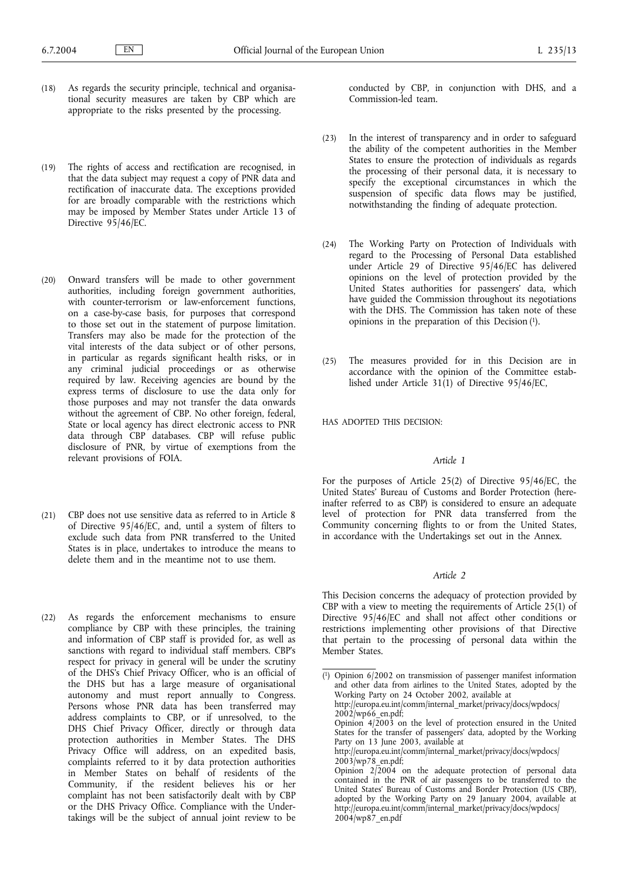- (18) As regards the security principle, technical and organisational security measures are taken by CBP which are appropriate to the risks presented by the processing.
- (19) The rights of access and rectification are recognised, in that the data subject may request a copy of PNR data and rectification of inaccurate data. The exceptions provided for are broadly comparable with the restrictions which may be imposed by Member States under Article 13 of Directive 95/46/EC.
- (20) Onward transfers will be made to other government authorities, including foreign government authorities, with counter-terrorism or law-enforcement functions, on a case-by-case basis, for purposes that correspond to those set out in the statement of purpose limitation. Transfers may also be made for the protection of the vital interests of the data subject or of other persons, in particular as regards significant health risks, or in any criminal judicial proceedings or as otherwise required by law. Receiving agencies are bound by the express terms of disclosure to use the data only for those purposes and may not transfer the data onwards without the agreement of CBP. No other foreign, federal, State or local agency has direct electronic access to PNR data through CBP databases. CBP will refuse public disclosure of PNR, by virtue of exemptions from the relevant provisions of FOIA.
- (21) CBP does not use sensitive data as referred to in Article 8 of Directive 95/46/EC, and, until a system of filters to exclude such data from PNR transferred to the United States is in place, undertakes to introduce the means to delete them and in the meantime not to use them.
- (22) As regards the enforcement mechanisms to ensure compliance by CBP with these principles, the training and information of CBP staff is provided for, as well as sanctions with regard to individual staff members. CBP's respect for privacy in general will be under the scrutiny of the DHS's Chief Privacy Officer, who is an official of the DHS but has a large measure of organisational autonomy and must report annually to Congress. Persons whose PNR data has been transferred may address complaints to CBP, or if unresolved, to the DHS Chief Privacy Officer, directly or through data protection authorities in Member States. The DHS Privacy Office will address, on an expedited basis, complaints referred to it by data protection authorities in Member States on behalf of residents of the Community, if the resident believes his or her complaint has not been satisfactorily dealt with by CBP or the DHS Privacy Office. Compliance with the Undertakings will be the subject of annual joint review to be

conducted by CBP, in conjunction with DHS, and a Commission-led team.

- (23) In the interest of transparency and in order to safeguard the ability of the competent authorities in the Member States to ensure the protection of individuals as regards the processing of their personal data, it is necessary to specify the exceptional circumstances in which the suspension of specific data flows may be justified, notwithstanding the finding of adequate protection.
- (24) The Working Party on Protection of Individuals with regard to the Processing of Personal Data established under Article 29 of Directive 95/46/EC has delivered opinions on the level of protection provided by the United States authorities for passengers' data, which have guided the Commission throughout its negotiations with the DHS. The Commission has taken note of these opinions in the preparation of this Decision (1).
- (25) The measures provided for in this Decision are in accordance with the opinion of the Committee established under Article  $31(1)$  of Directive  $95/46$ /EC,

HAS ADOPTED THIS DECISION:

#### *Article 1*

For the purposes of Article 25(2) of Directive 95/46/EC, the United States' Bureau of Customs and Border Protection (hereinafter referred to as CBP) is considered to ensure an adequate level of protection for PNR data transferred from the Community concerning flights to or from the United States, in accordance with the Undertakings set out in the Annex.

# *Article 2*

This Decision concerns the adequacy of protection provided by CBP with a view to meeting the requirements of Article 25(1) of Directive 95/46/EC and shall not affect other conditions or restrictions implementing other provisions of that Directive that pertain to the processing of personal data within the Member States.

( 1) Opinion 6/2002 on transmission of passenger manifest information and other data from airlines to the United States, adopted by the Working Party on 24 October 2002, available at http://europa.eu.int/comm/internal\_market/privacy/docs/wpdocs/  $2002$ /wp66 en.pdf; Opinion  $4/\overline{2}003$  on the level of protection ensured in the United States for the transfer of passengers' data, adopted by the Working Party on 13 June 2003, available at http://europa.eu.int/comm/internal\_market/privacy/docs/wpdocs/  $2003/wp78$  en.pdf; Opinion  $2\sqrt{2}004$  on the adequate protection of personal data contained in the PNR of air passengers to be transferred to the United States' Bureau of Customs and Border Protection (US CBP), adopted by the Working Party on 29 January 2004, available at http://europa.eu.int/comm/internal\_market/privacy/docs/wpdocs/

2004/wp87\_en.pdf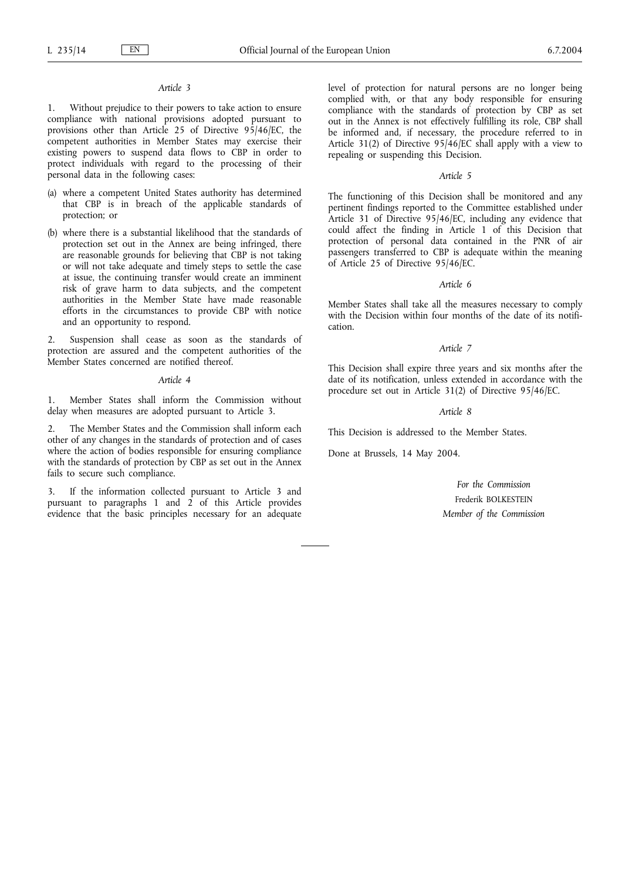# *Article 3*

1. Without prejudice to their powers to take action to ensure compliance with national provisions adopted pursuant to provisions other than Article 25 of Directive 95/46/EC, the competent authorities in Member States may exercise their existing powers to suspend data flows to CBP in order to protect individuals with regard to the processing of their personal data in the following cases:

- (a) where a competent United States authority has determined that CBP is in breach of the applicable standards of protection; or
- (b) where there is a substantial likelihood that the standards of protection set out in the Annex are being infringed, there are reasonable grounds for believing that CBP is not taking or will not take adequate and timely steps to settle the case at issue, the continuing transfer would create an imminent risk of grave harm to data subjects, and the competent authorities in the Member State have made reasonable efforts in the circumstances to provide CBP with notice and an opportunity to respond.

2. Suspension shall cease as soon as the standards of protection are assured and the competent authorities of the Member States concerned are notified thereof.

#### *Article 4*

1. Member States shall inform the Commission without delay when measures are adopted pursuant to Article 3.

2. The Member States and the Commission shall inform each other of any changes in the standards of protection and of cases where the action of bodies responsible for ensuring compliance with the standards of protection by CBP as set out in the Annex fails to secure such compliance.

3. If the information collected pursuant to Article 3 and pursuant to paragraphs  $1$  and  $2$  of this Article provides evidence that the basic principles necessary for an adequate level of protection for natural persons are no longer being complied with, or that any body responsible for ensuring compliance with the standards of protection by CBP as set out in the Annex is not effectively fulfilling its role, CBP shall be informed and, if necessary, the procedure referred to in Article 31(2) of Directive 95/46/EC shall apply with a view to repealing or suspending this Decision.

# *Article 5*

The functioning of this Decision shall be monitored and any pertinent findings reported to the Committee established under Article 31 of Directive 95/46/EC, including any evidence that could affect the finding in Article 1 of this Decision that protection of personal data contained in the PNR of air passengers transferred to CBP is adequate within the meaning of Article 25 of Directive 95/46/EC.

#### *Article 6*

Member States shall take all the measures necessary to comply with the Decision within four months of the date of its notification.

#### *Article 7*

This Decision shall expire three years and six months after the date of its notification, unless extended in accordance with the procedure set out in Article 31(2) of Directive 95/46/EC.

#### *Article 8*

This Decision is addressed to the Member States.

Done at Brussels, 14 May 2004.

*For the Commission* Frederik BOLKESTEIN *Member of the Commission*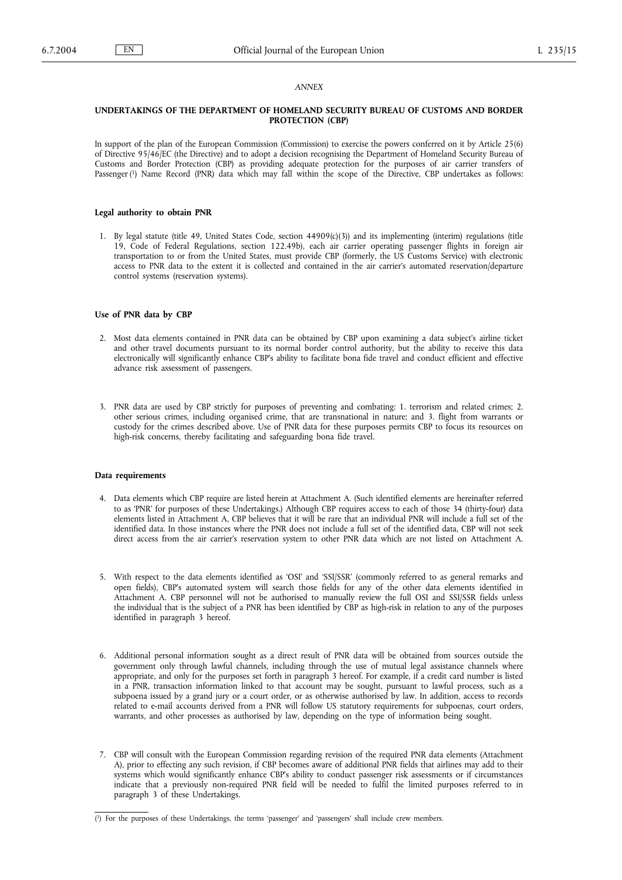# *ANNEX*

# **UNDERTAKINGS OF THE DEPARTMENT OF HOMELAND SECURITY BUREAU OF CUSTOMS AND BORDER PROTECTION (CBP)**

In support of the plan of the European Commission (Commission) to exercise the powers conferred on it by Article 25(6) of Directive 95/46/EC (the Directive) and to adopt a decision recognising the Department of Homeland Security Bureau of Customs and Border Protection (CBP) as providing adequate protection for the purposes of air carrier transfers of Passenger (1) Name Record (PNR) data which may fall within the scope of the Directive, CBP undertakes as follows:

## **Legal authority to obtain PNR**

1. By legal statute (title 49, United States Code, section 44909(c)(3)) and its implementing (interim) regulations (title 19, Code of Federal Regulations, section 122.49b), each air carrier operating passenger flights in foreign air transportation to or from the United States, must provide CBP (formerly, the US Customs Service) with electronic access to PNR data to the extent it is collected and contained in the air carrier's automated reservation/departure control systems (reservation systems).

## **Use of PNR data by CBP**

- 2. Most data elements contained in PNR data can be obtained by CBP upon examining a data subject's airline ticket and other travel documents pursuant to its normal border control authority, but the ability to receive this data electronically will significantly enhance CBP's ability to facilitate bona fide travel and conduct efficient and effective advance risk assessment of passengers.
- 3. PNR data are used by CBP strictly for purposes of preventing and combating: 1. terrorism and related crimes; 2. other serious crimes, including organised crime, that are transnational in nature; and 3. flight from warrants or custody for the crimes described above. Use of PNR data for these purposes permits CBP to focus its resources on high-risk concerns, thereby facilitating and safeguarding bona fide travel.

## **Data requirements**

- 4. Data elements which CBP require are listed herein at Attachment A. (Such identified elements are hereinafter referred to as 'PNR' for purposes of these Undertakings.) Although CBP requires access to each of those 34 (thirty-four) data elements listed in Attachment A, CBP believes that it will be rare that an individual PNR will include a full set of the identified data. In those instances where the PNR does not include a full set of the identified data, CBP will not seek direct access from the air carrier's reservation system to other PNR data which are not listed on Attachment A.
- 5. With respect to the data elements identified as 'OSI' and 'SSI/SSR' (commonly referred to as general remarks and open fields), CBP's automated system will search those fields for any of the other data elements identified in Attachment A. CBP personnel will not be authorised to manually review the full OSI and SSI/SSR fields unless the individual that is the subject of a PNR has been identified by CBP as high-risk in relation to any of the purposes identified in paragraph 3 hereof.
- 6. Additional personal information sought as a direct result of PNR data will be obtained from sources outside the government only through lawful channels, including through the use of mutual legal assistance channels where appropriate, and only for the purposes set forth in paragraph 3 hereof. For example, if a credit card number is listed in a PNR, transaction information linked to that account may be sought, pursuant to lawful process, such as a subpoena issued by a grand jury or a court order, or as otherwise authorised by law. In addition, access to records related to e-mail accounts derived from a PNR will follow US statutory requirements for subpoenas, court orders, warrants, and other processes as authorised by law, depending on the type of information being sought.
- 7. CBP will consult with the European Commission regarding revision of the required PNR data elements (Attachment A), prior to effecting any such revision, if CBP becomes aware of additional PNR fields that airlines may add to their systems which would significantly enhance CBP's ability to conduct passenger risk assessments or if circumstances indicate that a previously non-required PNR field will be needed to fulfil the limited purposes referred to in paragraph 3 of these Undertakings.

<sup>(</sup> 1) For the purposes of these Undertakings, the terms 'passenger' and 'passengers' shall include crew members.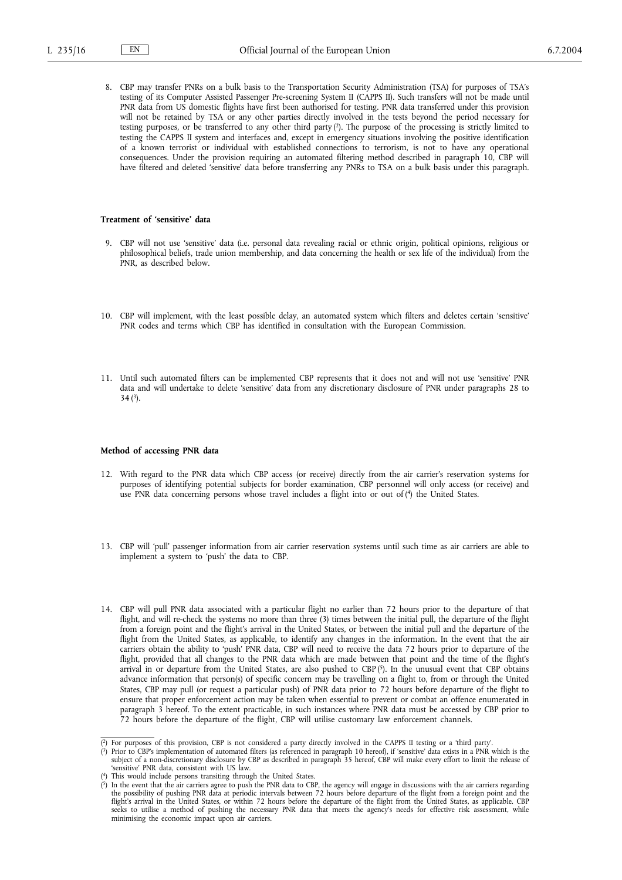8. CBP may transfer PNRs on a bulk basis to the Transportation Security Administration (TSA) for purposes of TSA's testing of its Computer Assisted Passenger Pre-screening System II (CAPPS II). Such transfers will not be made until PNR data from US domestic flights have first been authorised for testing. PNR data transferred under this provision will not be retained by TSA or any other parties directly involved in the tests beyond the period necessary for testing purposes, or be transferred to any other third party (2). The purpose of the processing is strictly limited to testing the CAPPS II system and interfaces and, except in emergency situations involving the positive identification of a known terrorist or individual with established connections to terrorism, is not to have any operational consequences. Under the provision requiring an automated filtering method described in paragraph 10, CBP will have filtered and deleted 'sensitive' data before transferring any PNRs to TSA on a bulk basis under this paragraph.

#### **Treatment of 'sensitive' data**

- 9. CBP will not use 'sensitive' data (i.e. personal data revealing racial or ethnic origin, political opinions, religious or philosophical beliefs, trade union membership, and data concerning the health or sex life of the individual) from the PNR, as described below.
- 10. CBP will implement, with the least possible delay, an automated system which filters and deletes certain 'sensitive' PNR codes and terms which CBP has identified in consultation with the European Commission.
- 11. Until such automated filters can be implemented CBP represents that it does not and will not use 'sensitive' PNR data and will undertake to delete 'sensitive' data from any discretionary disclosure of PNR under paragraphs 28 to  $34(3)$ .

#### **Method of accessing PNR data**

- 12. With regard to the PNR data which CBP access (or receive) directly from the air carrier's reservation systems for purposes of identifying potential subjects for border examination, CBP personnel will only access (or receive) and use PNR data concerning persons whose travel includes a flight into or out of (4) the United States.
- 13. CBP will 'pull' passenger information from air carrier reservation systems until such time as air carriers are able to implement a system to 'push' the data to CBP.
- 14. CBP will pull PNR data associated with a particular flight no earlier than 72 hours prior to the departure of that flight, and will re-check the systems no more than three (3) times between the initial pull, the departure of the flight from a foreign point and the flight's arrival in the United States, or between the initial pull and the departure of the flight from the United States, as applicable, to identify any changes in the information. In the event that the air carriers obtain the ability to 'push' PNR data, CBP will need to receive the data 72 hours prior to departure of the flight, provided that all changes to the PNR data which are made between that point and the time of the flight's arrival in or departure from the United States, are also pushed to CBP (5). In the unusual event that CBP obtains advance information that person(s) of specific concern may be travelling on a flight to, from or through the United States, CBP may pull (or request a particular push) of PNR data prior to 72 hours before departure of the flight to ensure that proper enforcement action may be taken when essential to prevent or combat an offence enumerated in paragraph 3 hereof. To the extent practicable, in such instances where PNR data must be accessed by CBP prior to 72 hours before the departure of the flight, CBP will utilise customary law enforcement channels.

( This would include persons transiting through the United States.

<sup>(</sup> 2) For purposes of this provision, CBP is not considered a party directly involved in the CAPPS II testing or a 'third party'.

<sup>(</sup> 3) Prior to CBP's implementation of automated filters (as referenced in paragraph 10 hereof), if 'sensitive' data exists in a PNR which is the subject of a non-discretionary disclosure by CBP as described in paragraph 35 hereof, CBP will make every effort to limit the release of 'sensitive' PNR data, consistent with US law.

<sup>(</sup> <sup>5</sup>) In the event that the air carriers agree to push the PNR data to CBP, the agency will engage in discussions with the air carriers regarding the possibility of pushing PNR data at periodic intervals between 72 hours be seeks to utilise a method of pushing the necessary PNR data that meets the agency's needs for effective risk assessment, while minimising the economic impact upon air carriers.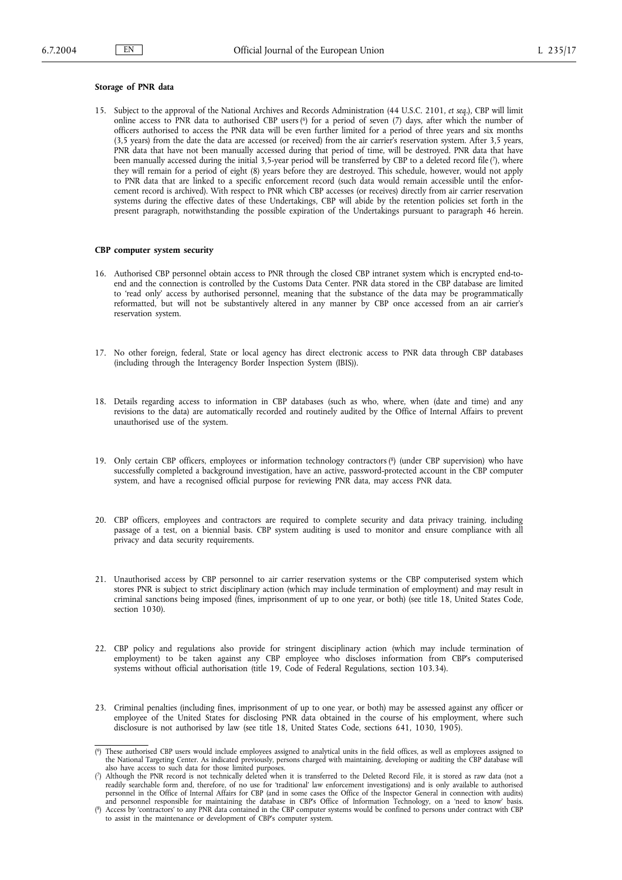# **Storage of PNR data**

15. Subject to the approval of the National Archives and Records Administration (44 U.S.C. 2101, *et seq.*), CBP will limit online access to PNR data to authorised CBP users  $(6)$  for a period of seven  $(7)$  days, after which the number of officers authorised to access the PNR data will be even further limited for a period of three years and six months (3,5 years) from the date the data are accessed (or received) from the air carrier's reservation system. After 3,5 years, PNR data that have not been manually accessed during that period of time, will be destroyed. PNR data that have been manually accessed during the initial 3,5-year period will be transferred by CBP to a deleted record file  $(7)$ , where they will remain for a period of eight (8) years before they are destroyed. This schedule, however, would not apply to PNR data that are linked to a specific enforcement record (such data would remain accessible until the enforcement record is archived). With respect to PNR which CBP accesses (or receives) directly from air carrier reservation systems during the effective dates of these Undertakings, CBP will abide by the retention policies set forth in the present paragraph, notwithstanding the possible expiration of the Undertakings pursuant to paragraph 46 herein.

# **CBP computer system security**

- 16. Authorised CBP personnel obtain access to PNR through the closed CBP intranet system which is encrypted end-toend and the connection is controlled by the Customs Data Center. PNR data stored in the CBP database are limited to 'read only' access by authorised personnel, meaning that the substance of the data may be programmatically reformatted, but will not be substantively altered in any manner by CBP once accessed from an air carrier's reservation system.
- 17. No other foreign, federal, State or local agency has direct electronic access to PNR data through CBP databases (including through the Interagency Border Inspection System (IBIS)).
- 18. Details regarding access to information in CBP databases (such as who, where, when (date and time) and any revisions to the data) are automatically recorded and routinely audited by the Office of Internal Affairs to prevent unauthorised use of the system.
- 19. Only certain CBP officers, employees or information technology contractors (8) (under CBP supervision) who have successfully completed a background investigation, have an active, password-protected account in the CBP computer system, and have a recognised official purpose for reviewing PNR data, may access PNR data.
- 20. CBP officers, employees and contractors are required to complete security and data privacy training, including passage of a test, on a biennial basis. CBP system auditing is used to monitor and ensure compliance with all privacy and data security requirements.
- 21. Unauthorised access by CBP personnel to air carrier reservation systems or the CBP computerised system which stores PNR is subject to strict disciplinary action (which may include termination of employment) and may result in criminal sanctions being imposed (fines, imprisonment of up to one year, or both) (see title 18, United States Code, section 1030).
- 22. CBP policy and regulations also provide for stringent disciplinary action (which may include termination of employment) to be taken against any CBP employee who discloses information from CBP's computerised systems without official authorisation (title 19, Code of Federal Regulations, section 103.34).
- 23. Criminal penalties (including fines, imprisonment of up to one year, or both) may be assessed against any officer or employee of the United States for disclosing PNR data obtained in the course of his employment, where such disclosure is not authorised by law (see title 18, United States Code, sections 641, 1030, 1905).

<sup>(</sup> 6) These authorised CBP users would include employees assigned to analytical units in the field offices, as well as employees assigned to the National Targeting Center. As indicated previously, persons charged with maintaining, developing or auditing the CBP database will also have access to such data for those limited purposes.

<sup>(</sup> 7) Although the PNR record is not technically deleted when it is transferred to the Deleted Record File, it is stored as raw data (not a readily searchable form and, therefore, of no use for 'traditional' law enforcement investigations) and is only available to authorised<br>personnel in the Office of Internal Affairs for CBP (and in some cases the Office of t

<sup>(</sup> 8) Access by 'contractors' to any PNR data contained in the CBP computer systems would be confined to persons under contract with CBP to assist in the maintenance or development of CBP's computer system.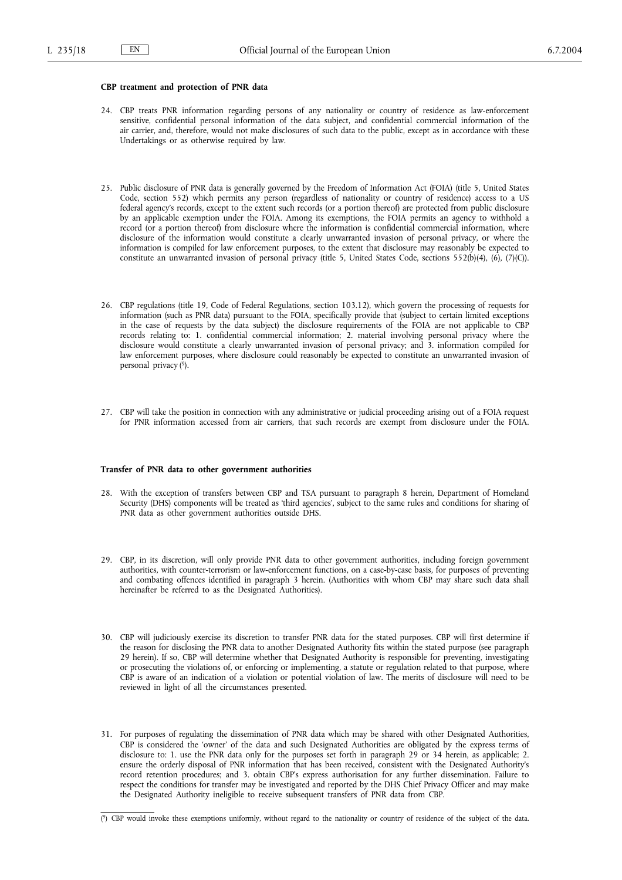# **CBP treatment and protection of PNR data**

- 24. CBP treats PNR information regarding persons of any nationality or country of residence as law-enforcement sensitive, confidential personal information of the data subject, and confidential commercial information of the air carrier, and, therefore, would not make disclosures of such data to the public, except as in accordance with these Undertakings or as otherwise required by law.
- 25. Public disclosure of PNR data is generally governed by the Freedom of Information Act (FOIA) (title 5, United States Code, section 552) which permits any person (regardless of nationality or country of residence) access to a US federal agency's records, except to the extent such records (or a portion thereof) are protected from public disclosure by an applicable exemption under the FOIA. Among its exemptions, the FOIA permits an agency to withhold a record (or a portion thereof) from disclosure where the information is confidential commercial information, where disclosure of the information would constitute a clearly unwarranted invasion of personal privacy, or where the information is compiled for law enforcement purposes, to the extent that disclosure may reasonably be expected to constitute an unwarranted invasion of personal privacy (title 5, United States Code, sections 552(b)(4), (6), (7)(C)).
- 26. CBP regulations (title 19, Code of Federal Regulations, section 103.12), which govern the processing of requests for information (such as PNR data) pursuant to the FOIA, specifically provide that (subject to certain limited exceptions in the case of requests by the data subject) the disclosure requirements of the FOIA are not applicable to CBP records relating to: 1. confidential commercial information; 2. material involving personal privacy where the disclosure would constitute a clearly unwarranted invasion of personal privacy; and 3. information compiled for law enforcement purposes, where disclosure could reasonably be expected to constitute an unwarranted invasion of personal privacy (9).
- 27. CBP will take the position in connection with any administrative or judicial proceeding arising out of a FOIA request for PNR information accessed from air carriers, that such records are exempt from disclosure under the FOIA.

#### **Transfer of PNR data to other government authorities**

- 28. With the exception of transfers between CBP and TSA pursuant to paragraph 8 herein, Department of Homeland Security (DHS) components will be treated as 'third agencies', subject to the same rules and conditions for sharing of PNR data as other government authorities outside DHS.
- 29. CBP, in its discretion, will only provide PNR data to other government authorities, including foreign government authorities, with counter-terrorism or law-enforcement functions, on a case-by-case basis, for purposes of preventing and combating offences identified in paragraph 3 herein. (Authorities with whom CBP may share such data shall hereinafter be referred to as the Designated Authorities).
- 30. CBP will judiciously exercise its discretion to transfer PNR data for the stated purposes. CBP will first determine if the reason for disclosing the PNR data to another Designated Authority fits within the stated purpose (see paragraph 29 herein). If so, CBP will determine whether that Designated Authority is responsible for preventing, investigating or prosecuting the violations of, or enforcing or implementing, a statute or regulation related to that purpose, where CBP is aware of an indication of a violation or potential violation of law. The merits of disclosure will need to be reviewed in light of all the circumstances presented.
- 31. For purposes of regulating the dissemination of PNR data which may be shared with other Designated Authorities, CBP is considered the 'owner' of the data and such Designated Authorities are obligated by the express terms of disclosure to: 1. use the PNR data only for the purposes set forth in paragraph 29 or 34 herein, as applicable; 2. ensure the orderly disposal of PNR information that has been received, consistent with the Designated Authority's record retention procedures; and 3. obtain CBP's express authorisation for any further dissemination. Failure to respect the conditions for transfer may be investigated and reported by the DHS Chief Privacy Officer and may make the Designated Authority ineligible to receive subsequent transfers of PNR data from CBP.

<sup>(</sup> 9) CBP would invoke these exemptions uniformly, without regard to the nationality or country of residence of the subject of the data.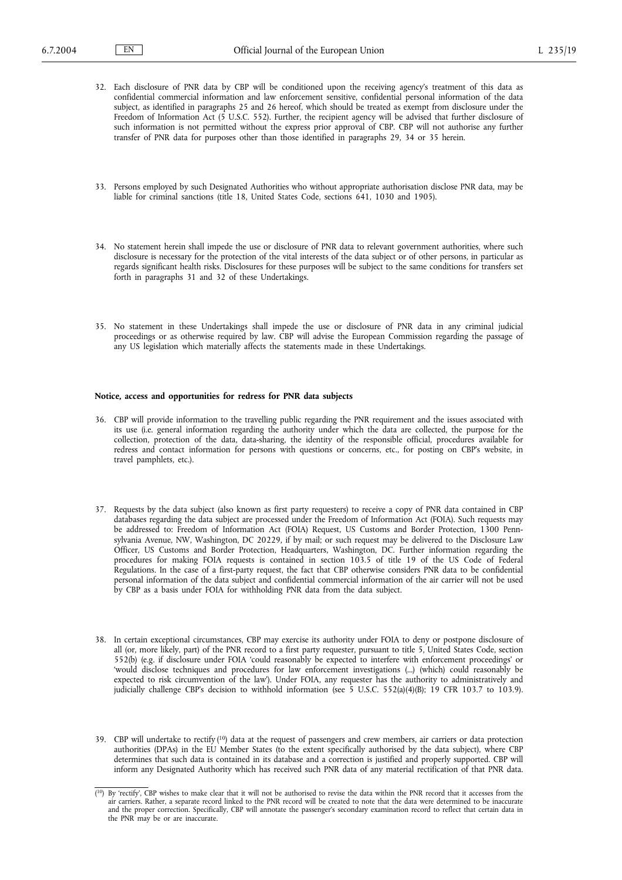- 32. Each disclosure of PNR data by CBP will be conditioned upon the receiving agency's treatment of this data as confidential commercial information and law enforcement sensitive, confidential personal information of the data subject, as identified in paragraphs 25 and 26 hereof, which should be treated as exempt from disclosure under the Freedom of Information Act (5 U.S.C. 552). Further, the recipient agency will be advised that further disclosure of such information is not permitted without the express prior approval of CBP. CBP will not authorise any further transfer of PNR data for purposes other than those identified in paragraphs 29, 34 or 35 herein.
- 33. Persons employed by such Designated Authorities who without appropriate authorisation disclose PNR data, may be liable for criminal sanctions (title 18, United States Code, sections 641, 1030 and 1905).
- 34. No statement herein shall impede the use or disclosure of PNR data to relevant government authorities, where such disclosure is necessary for the protection of the vital interests of the data subject or of other persons, in particular as regards significant health risks. Disclosures for these purposes will be subject to the same conditions for transfers set forth in paragraphs 31 and 32 of these Undertakings.
- 35. No statement in these Undertakings shall impede the use or disclosure of PNR data in any criminal judicial proceedings or as otherwise required by law. CBP will advise the European Commission regarding the passage of any US legislation which materially affects the statements made in these Undertakings.

# **Notice, access and opportunities for redress for PNR data subjects**

- 36. CBP will provide information to the travelling public regarding the PNR requirement and the issues associated with its use (i.e. general information regarding the authority under which the data are collected, the purpose for the collection, protection of the data, data-sharing, the identity of the responsible official, procedures available for redress and contact information for persons with questions or concerns, etc., for posting on CBP's website, in travel pamphlets, etc.).
- 37. Requests by the data subject (also known as first party requesters) to receive a copy of PNR data contained in CBP databases regarding the data subject are processed under the Freedom of Information Act (FOIA). Such requests may be addressed to: Freedom of Information Act (FOIA) Request, US Customs and Border Protection, 1300 Pennsylvania Avenue, NW, Washington, DC 20229, if by mail; or such request may be delivered to the Disclosure Law Officer, US Customs and Border Protection, Headquarters, Washington, DC. Further information regarding the procedures for making FOIA requests is contained in section 103.5 of title 19 of the US Code of Federal Regulations. In the case of a first-party request, the fact that CBP otherwise considers PNR data to be confidential personal information of the data subject and confidential commercial information of the air carrier will not be used by CBP as a basis under FOIA for withholding PNR data from the data subject.
- 38. In certain exceptional circumstances, CBP may exercise its authority under FOIA to deny or postpone disclosure of all (or, more likely, part) of the PNR record to a first party requester, pursuant to title 5, United States Code, section 552(b) (e.g. if disclosure under FOIA 'could reasonably be expected to interfere with enforcement proceedings' or 'would disclose techniques and procedures for law enforcement investigations (...) (which) could reasonably be expected to risk circumvention of the law'). Under FOIA, any requester has the authority to administratively and judicially challenge CBP's decision to withhold information (see 5 U.S.C. 552(a)(4)(B); 19 CFR 103.7 to 103.9).
- 39. CBP will undertake to rectify  $(10)$  data at the request of passengers and crew members, air carriers or data protection authorities (DPAs) in the EU Member States (to the extent specifically authorised by the data subject), where CBP determines that such data is contained in its database and a correction is justified and properly supported. CBP will inform any Designated Authority which has received such PNR data of any material rectification of that PNR data.

<sup>(&</sup>lt;sup>10</sup>) By 'rectify', CBP wishes to make clear that it will not be authorised to revise the data within the PNR record that it accesses from the air carriers. Rather, a separate record linked to the PNR record will be created to note that the data were determined to be inaccurate and the proper correction. Specifically, CBP will annotate the passenger's secondary examination record to reflect that certain data in the PNR may be or are inaccurate.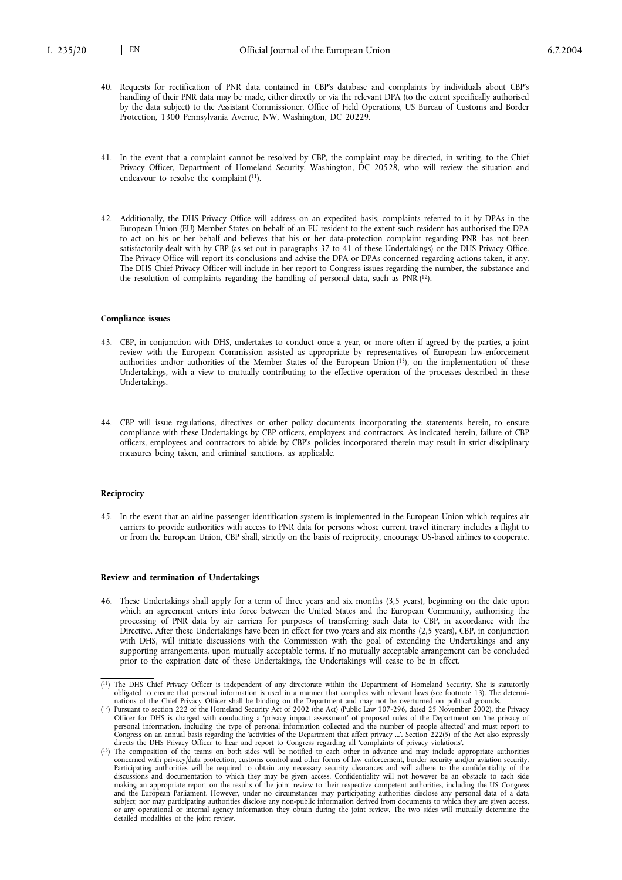- 40. Requests for rectification of PNR data contained in CBP's database and complaints by individuals about CBP's handling of their PNR data may be made, either directly or via the relevant DPA (to the extent specifically authorised by the data subject) to the Assistant Commissioner, Office of Field Operations, US Bureau of Customs and Border Protection, 1300 Pennsylvania Avenue, NW, Washington, DC 20229.
- 41. In the event that a complaint cannot be resolved by CBP, the complaint may be directed, in writing, to the Chief Privacy Officer, Department of Homeland Security, Washington, DC 20528, who will review the situation and endeavour to resolve the complaint (11).
- 42. Additionally, the DHS Privacy Office will address on an expedited basis, complaints referred to it by DPAs in the European Union (EU) Member States on behalf of an EU resident to the extent such resident has authorised the DPA to act on his or her behalf and believes that his or her data-protection complaint regarding PNR has not been satisfactorily dealt with by CBP (as set out in paragraphs 37 to 41 of these Undertakings) or the DHS Privacy Office. The Privacy Office will report its conclusions and advise the DPA or DPAs concerned regarding actions taken, if any. The DHS Chief Privacy Officer will include in her report to Congress issues regarding the number, the substance and the resolution of complaints regarding the handling of personal data, such as PNR (12).

#### **Compliance issues**

- 43. CBP, in conjunction with DHS, undertakes to conduct once a year, or more often if agreed by the parties, a joint review with the European Commission assisted as appropriate by representatives of European law-enforcement authorities and/or authorities of the Member States of the European Union (13), on the implementation of these Undertakings, with a view to mutually contributing to the effective operation of the processes described in these Undertakings.
- 44. CBP will issue regulations, directives or other policy documents incorporating the statements herein, to ensure compliance with these Undertakings by CBP officers, employees and contractors. As indicated herein, failure of CBP officers, employees and contractors to abide by CBP's policies incorporated therein may result in strict disciplinary measures being taken, and criminal sanctions, as applicable.

## **Reciprocity**

45. In the event that an airline passenger identification system is implemented in the European Union which requires air carriers to provide authorities with access to PNR data for persons whose current travel itinerary includes a flight to or from the European Union, CBP shall, strictly on the basis of reciprocity, encourage US-based airlines to cooperate.

## **Review and termination of Undertakings**

46. These Undertakings shall apply for a term of three years and six months (3,5 years), beginning on the date upon which an agreement enters into force between the United States and the European Community, authorising the processing of PNR data by air carriers for purposes of transferring such data to CBP, in accordance with the Directive. After these Undertakings have been in effect for two years and six months (2,5 years), CBP, in conjunction with DHS, will initiate discussions with the Commission with the goal of extending the Undertakings and any supporting arrangements, upon mutually acceptable terms. If no mutually acceptable arrangement can be concluded prior to the expiration date of these Undertakings, the Undertakings will cease to be in effect.

<sup>&</sup>lt;sup>{1}</sup>) The DHS Chief Privacy Officer is independent of any directorate within the Department of Homeland Security. She is statutorily obligated to ensure that personal information is used in a manner that complies with rel nations of the Chief Privacy Officer shall be binding on the Department and may not be overturned on political grounds.

<sup>(</sup> 12) Pursuant to section 222 of the Homeland Security Act of 2002 (the Act) (Public Law 107-296, dated 25 November 2002), the Privacy Officer for DHS is charged with conducting a 'privacy impact assessment' of proposed rules of the Department on 'the privacy of personal information, including the type of personal information collected and the number of people affected' and must report to Congress on an annual basis regarding the 'activities of the Department that affect privacy ...'. Section 222(5) of the Act also expressly directs the DHS Privacy Officer to hear and report to Congress regarding all 'compl

concerned with privacy/data protection, customs control and other forms of law enforcement, border security and/or aviation security. Participating authorities will be required to obtain any necessary security clearances and will adhere to the confidentiality of the<br>discussions and documentation to which they may be given access. Confidentiality will not making an appropriate report on the results of the joint review to their respective competent authorities, including the US Congress<br>and the European Parliament. However, under no circumstances may participating authoritie or any operational or internal agency information they obtain during the joint review. The two sides will mutually determine the detailed modalities of the joint review.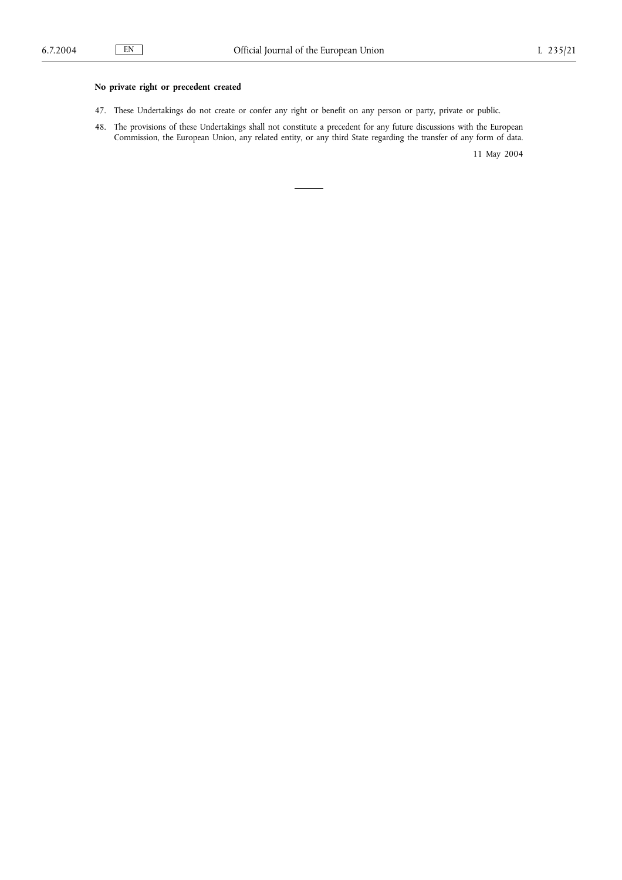# **No private right or precedent created**

- 47. These Undertakings do not create or confer any right or benefit on any person or party, private or public.
- 48. The provisions of these Undertakings shall not constitute a precedent for any future discussions with the European Commission, the European Union, any related entity, or any third State regarding the transfer of any form of data.

11 May 2004